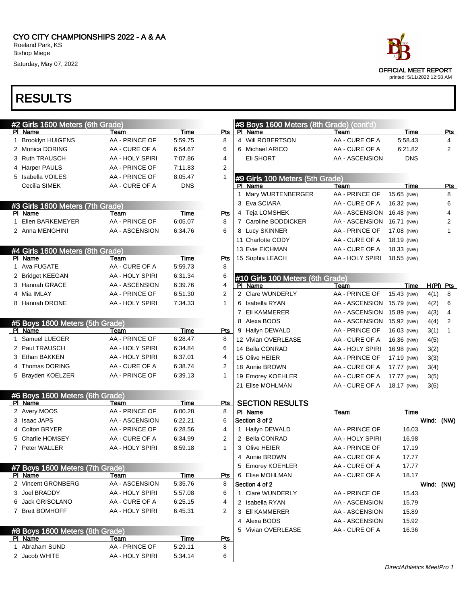|   |                            | race                                                       |     |
|---|----------------------------|------------------------------------------------------------|-----|
|   |                            | <b>OFFICIAL MEET REPORT</b><br>printed: 5/11/2022 12:58 AM |     |
|   |                            |                                                            |     |
|   |                            |                                                            |     |
|   | eters (8th Grade) (cont'd) |                                                            |     |
|   | Team                       | Time                                                       | Pts |
| Ń | AA - CURE OF A             | 5:58.43                                                    | 4   |
|   | AA - CURE OF A             | 6:21.82                                                    | 2   |
|   | AA - ASCENSION             | <b>DNS</b>                                                 |     |
|   | ters (5th Grade)           |                                                            |     |
|   | <b>Taam</b>                | т                                                          | D÷- |

| <u>#2 Girls </u> 1600 Meters (6th Grade) |                 |             |              | #8 Boys 1600 Meters (8th Grade) (cont'd) |                 |             |            |              |
|------------------------------------------|-----------------|-------------|--------------|------------------------------------------|-----------------|-------------|------------|--------------|
| PI Name                                  | Team            | Time        | Pts          | PI Name                                  | Team            | <b>Time</b> |            | Pts          |
| 1 Brooklyn HUIGENS                       | AA - PRINCE OF  | 5:59.75     | 8            | 4 Will ROBERTSON                         | AA - CURE OF A  | 5:58.43     |            | 4            |
| 2 Monica DORING                          | AA - CURE OF A  | 6:54.67     | 6            | 6 Michael ARICO                          | AA - CURE OF A  | 6:21.82     |            | 2            |
| 3 Ruth TRAUSCH                           | AA - HOLY SPIRI | 7:07.86     | 4            | Eli SHORT                                | AA - ASCENSION  | <b>DNS</b>  |            |              |
| 4 Harper PAULS                           | AA - PRINCE OF  | 7:11.83     | 2            |                                          |                 |             |            |              |
| 5 Isabella VOILES                        | AA - PRINCE OF  | 8:05.47     | 1            | #9 Girls 100 Meters (5th Grade)          |                 |             |            |              |
| Cecilia SIMEK                            | AA - CURE OF A  | <b>DNS</b>  |              | PI Name                                  | Team            | Time        |            | Pts          |
|                                          |                 |             |              | 1 Mary WURTENBERGER                      | AA - PRINCE OF  | 15.65 (NW)  |            | 8            |
| #3 Girls 1600 Meters (7th Grade)         |                 |             |              | 3 Eva SCIARA                             | AA - CURE OF A  | 16.32 (NW)  |            | 6            |
| PI Name                                  | Team            | Time        | Pts          | 4 Teja LOMSHEK                           | AA - ASCENSION  | 16.48 (NW)  |            | 4            |
| 1 Ellen BARKEMEYER                       | AA - PRINCE OF  | 6:05.07     | 8            | 7 Caroline BODDICKER                     | AA - ASCENSION  | 16.71 (NW)  |            | 2            |
| 2 Anna MENGHINI                          | AA - ASCENSION  | 6:34.76     | 6            | 8 Lucy SKINNER                           | AA - PRINCE OF  | 17.08 (NW)  |            | 1            |
|                                          |                 |             |              | 11 Charlotte CODY                        | AA - CURE OF A  | 18.19 (NW)  |            |              |
| #4 Girls 1600 Meters (8th Grade)         |                 |             |              | 13 Evie EICHMAN                          | AA - CURE OF A  | 18.33 (NW)  |            |              |
| PI Name                                  | Team            | Time        | <b>Pts</b>   | 15 Sophia LEACH                          | AA - HOLY SPIRI | 18.55 (NW)  |            |              |
| 1 Ava FUGATE                             | AA - CURE OF A  | 5:59.73     | 8            |                                          |                 |             |            |              |
| 2 Bridget KEEGAN                         | AA - HOLY SPIRI | 6:31.34     | 6            | #10 Girls 100 Meters (6th Grade)         |                 |             |            |              |
| 3 Hannah GRACE                           | AA - ASCENSION  | 6:39.76     | 4            | PI Name                                  | Team            | Time        |            | $H(PI)$ Pts  |
| 4 Mia IMLAY                              | AA - PRINCE OF  | 6:51.30     | 2            | 2 Clare WUNDERLY                         | AA - PRINCE OF  | 15.43 (NW)  | 4(1)       | 8            |
| 8 Hannah DRONE                           | AA - HOLY SPIRI | 7:34.33     | $\mathbf{1}$ | 6 Isabella RYAN                          | AA - ASCENSION  | 15.79 (NW)  | 4(2)       | 6            |
|                                          |                 |             |              | 7 EII KAMMERER                           | AA - ASCENSION  | 15.89 (NW)  | 4(3)       | 4            |
| #5 Boys 1600 Meters (5th Grade)          |                 |             |              | 8 Alexa BOOS                             | AA - ASCENSION  | 15.92 (NW)  | 4(4)       | 2            |
| PI Name                                  | Team            | Time        | Pts          | 9 Hailyn DEWALD                          | AA - PRINCE OF  | 16.03 (NW)  | 3(1)       | $\mathbf{1}$ |
| 1 Samuel LUEGER                          | AA - PRINCE OF  | 6:28.47     | 8            | 12 Vivian OVERLEASE                      | AA - CURE OF A  | 16.36 (NW)  | 4(5)       |              |
| 2 Paul TRAUSCH                           | AA - HOLY SPIRI | 6:34.84     | 6            | 14 Bella CONRAD                          | AA - HOLY SPIRI | 16.98 (NW)  | 3(2)       |              |
| 3 Ethan BAKKEN                           | AA - HOLY SPIRI | 6:37.01     | 4            | 15 Olive HEIER                           | AA - PRINCE OF  | 17.19 (NW)  | 3(3)       |              |
| 4 Thomas DORING                          | AA - CURE OF A  | 6:38.74     | 2            | 18 Annie BROWN                           | AA - CURE OF A  | 17.77 (NW)  | 3(4)       |              |
| 5 Brayden KOELZER                        | AA - PRINCE OF  | 6:39.13     | 1            | 19 Emorey KOEHLER                        | AA - CURE OF A  | 17.77 (NW)  | 3(5)       |              |
|                                          |                 |             |              | 21 Elise MOHLMAN                         | AA - CURE OF A  | 18.17 (NW)  | 3(6)       |              |
| #6 Boys 1600 Meters (6th Grade)          |                 |             |              |                                          |                 |             |            |              |
| PI Name                                  | Team            | <b>Time</b> | Pts          | <b>SECTION RESULTS</b>                   |                 |             |            |              |
| 2 Avery MOOS                             | AA - PRINCE OF  | 6:00.28     | 8            | PI Name                                  | <u>Team</u>     | <b>Time</b> |            |              |
| 3 Isaac JAPS                             | AA - ASCENSION  | 6:22.21     | 6            | Section 3 of 2                           |                 |             | Wind: (NW) |              |
| 4 Colton BRYER                           | AA - PRINCE OF  | 6:28.56     | 4            | 1 Hailyn DEWALD                          | AA - PRINCE OF  | 16.03       |            |              |
| 5 Charlie HOMSEY                         | AA - CURE OF A  | 6:34.99     | 2            | 2 Bella CONRAD                           | AA - HOLY SPIRI | 16.98       |            |              |
| 7 Peter WALLER                           | AA - HOLY SPIRI | 8:59.18     | 1            | 3 Olive HEIER                            | AA - PRINCE OF  | 17.19       |            |              |
|                                          |                 |             |              | 4 Annie BROWN                            | AA - CURE OF A  | 17.77       |            |              |
| #7 Boys 1600 Meters (7th Grade)          |                 |             |              | 5 Emorey KOEHLER                         | AA - CURE OF A  | 17.77       |            |              |
| PI Name                                  | Team            | Time        | Pts          | 6 Elise MOHLMAN                          | AA - CURE OF A  | 18.17       |            |              |
| 2 Vincent GRONBERG                       | AA - ASCENSION  | 5:35.76     | 8            | Section 4 of 2                           |                 |             | Wind: (NW) |              |
| 3 Joel BRADDY                            | AA - HOLY SPIRI | 5:57.08     | 6            | 1 Clare WUNDERLY                         | AA - PRINCE OF  | 15.43       |            |              |
| 6 Jack GRISOLANO                         | AA - CURE OF A  | 6:25.15     | 4            | 2 Isabella RYAN                          | AA - ASCENSION  | 15.79       |            |              |
| 7 Brett BOMHOFF                          | AA - HOLY SPIRI | 6:45.31     | 2            | 3 EII KAMMERER                           | AA - ASCENSION  | 15.89       |            |              |
|                                          |                 |             |              | 4 Alexa BOOS                             | AA - ASCENSION  | 15.92       |            |              |
| #8 Boys 1600 Meters (8th Grade)          |                 |             |              | 5 Vivian OVERLEASE                       | AA - CURE OF A  | 16.36       |            |              |
| PI Name                                  | Team            | Time        | <u>Pts</u>   |                                          |                 |             |            |              |
| 1 Abraham SUND                           | AA - PRINCE OF  | 5:29.11     | 8            |                                          |                 |             |            |              |
| 2 Jacob WHITE                            | AA - HOLY SPIRI | 5:34.14     | 6            |                                          |                 |             |            |              |
|                                          |                 |             |              |                                          |                 |             |            |              |

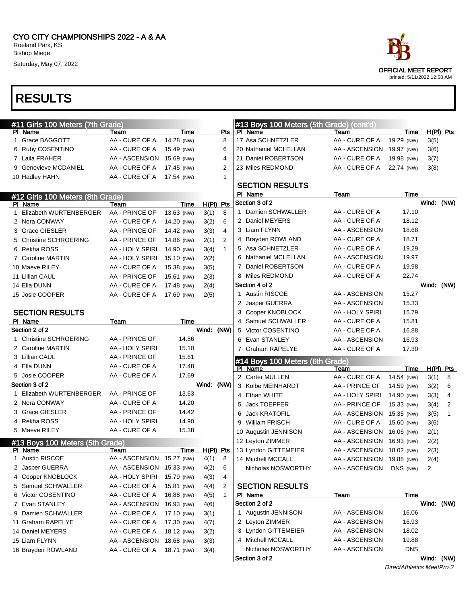

### RESULTS

| #11 Girls 100 Meters (7th Grade) |                           |            |             |                  |   | #13 Boys 100 Meters (5th Grade) (cont'd) |                           |            |            |             |
|----------------------------------|---------------------------|------------|-------------|------------------|---|------------------------------------------|---------------------------|------------|------------|-------------|
| PI Name                          | Team                      | Time       |             | Pts              |   | PI Name                                  | Team                      | Time       |            | $H(PI)$ Pts |
| 1 Grace BAGGOTT                  | AA - CURE OF A            | 14.28 (NW) |             | 8                |   | 17 Asa SCHNETZLER                        | AA - CURE OF A            | 19.29 (NW) | 3(5)       |             |
| 6 Ruby COSENTINO                 | AA - CURE OF A            | 15.49 (NW) |             | 6                |   | 20 Nathaniel MCLELLAN                    | AA - ASCENSION 19.97 (NW) |            | 3(6)       |             |
| 7 Laila FRAHER                   | AA - ASCENSION            | 15.69 (NW) |             | 4                |   | 21 Daniel ROBERTSON                      | AA - CURE OF A            | 19.98 (NW) | 3(7)       |             |
| 9 Genevieve MCDANIEL             | AA - CURE OF A            | 17.45 (NW) |             | 2                |   | 23 Miles REDMOND                         | AA - CURE OF A            | 22.74 (NW) | 3(8)       |             |
| 10 Hadley HAHN                   | AA - CURE OF A            | 17.54 (NW) |             | 1                |   |                                          |                           |            |            |             |
|                                  |                           |            |             |                  |   | <b>SECTION RESULTS</b>                   |                           |            |            |             |
| #12 Girls 100 Meters (8th Grade) |                           |            |             |                  |   | PI Name                                  | Team                      | Time       |            |             |
| PI Name                          | Team                      | Time       | $H(PI)$ Pts |                  |   | Section 3 of 2                           |                           |            | Wind: (NW) |             |
| 1 Elizabeth WURTENBERGER         | AA - PRINCE OF            | 13.63 (NW) | 3(1)        | 8                |   | 1 Damien SCHWALLER                       | AA - CURE OF A            | 17.10      |            |             |
| 2 Nora CONWAY                    | AA - CURE OF A            | 14.20 (NW) | 3(2)        | 6                |   | 2 Daniel MEYERS                          | AA - CURE OF A            | 18.12      |            |             |
| 3 Grace GIESLER                  | AA - PRINCE OF            | 14.42 (NW) | 3(3)        | 4                |   | 3 Liam FLYNN                             | AA - ASCENSION            | 18.68      |            |             |
| 5 Christine SCHROERING           | AA - PRINCE OF            | 14.86 (NW) | 2(1)        | 2                | 4 | <b>Brayden ROWLAND</b>                   | AA - CURE OF A            | 18.71      |            |             |
| 6 Rekha ROSS                     | AA - HOLY SPIRI           | 14.90 (NW) | 3(4)        | $\mathbf{1}$     |   | 5 Asa SCHNETZLER                         | AA - CURE OF A            | 19.29      |            |             |
| 7 Caroline MARTIN                | AA - HOLY SPIRI           | 15.10 (NW) | 2(2)        |                  | 6 | <b>Nathaniel MCLELLAN</b>                | AA - ASCENSION            | 19.97      |            |             |
| 10 Maeve RILEY                   | AA - CURE OF A            | 15.38 (NW) | 3(5)        |                  | 7 | Daniel ROBERTSON                         | AA - CURE OF A            | 19.98      |            |             |
| 11 Lillian CAUL                  | AA - PRINCE OF            | 15.61 (NW) | 2(3)        |                  |   | 8 Miles REDMOND                          | AA - CURE OF A            | 22.74      |            |             |
| 14 Ella DUNN                     | AA - CURE OF A            | 17.48 (NW) | 2(4)        |                  |   | Section 4 of 2                           |                           |            | Wind: (NW) |             |
| 15 Josie COOPER                  | AA - CURE OF A            | 17.69 (NW) | 2(5)        |                  |   | 1 Austin RISCOE                          | AA - ASCENSION            | 15.27      |            |             |
|                                  |                           |            |             |                  |   | 2 Jasper GUERRA                          | AA - ASCENSION            | 15.33      |            |             |
| <b>SECTION RESULTS</b>           |                           |            |             |                  | 3 | Cooper KNOBLOCK                          | AA - HOLY SPIRI           | 15.79      |            |             |
| PI Name                          | Team                      | Time       |             |                  | 4 | Samuel SCHWALLER                         | AA - CURE OF A            | 15.81      |            |             |
| Section 2 of 2                   |                           |            | Wind: (NW)  |                  |   | 5 Victor COSENTINO                       | AA - CURE OF A            | 16.88      |            |             |
| 1 Christine SCHROERING           | AA - PRINCE OF            | 14.86      |             |                  | 6 | Evan STANLEY                             | AA - ASCENSION            | 16.93      |            |             |
| 2 Caroline MARTIN                | AA - HOLY SPIRI           | 15.10      |             |                  |   | 7 Graham RAPELYE                         | AA - CURE OF A            | 17.30      |            |             |
| 3 Lillian CAUL                   | AA - PRINCE OF            | 15.61      |             |                  |   | #14 Boys 100 Meters (6th Grade)          |                           |            |            |             |
| 4 Ella DUNN                      | AA - CURE OF A            | 17.48      |             |                  |   | PI Name                                  | Team                      | Time       |            | $H(PI)$ Pts |
| 5 Josie COOPER                   | AA - CURE OF A            | 17.69      |             |                  |   | 2 Carter MULLEN                          | AA - CURE OF A            | 14.54 (NW) | 3(1)       | 8           |
| Section 3 of 2                   |                           |            | Wind:       | (NW)             |   | 3 Kolbe MEINHARDT                        | AA - PRINCE OF            | 14.59 (NW) | 3(2)       | 6           |
| 1 Elizabeth WURTENBERGER         | AA - PRINCE OF            | 13.63      |             |                  | 4 | Ethan WHITE                              | AA - HOLY SPIRI           | 14.90 (NW) | 3(3)       | 4           |
| 2 Nora CONWAY                    | AA - CURE OF A            | 14.20      |             |                  | 5 | Jack TOEPFER                             | AA - PRINCE OF            | 15.33 (NW) | 3(4)       | 2           |
| 3 Grace GIESLER                  | AA - PRINCE OF            | 14.42      |             |                  | 6 | <b>Jack KRATOFIL</b>                     | AA - ASCENSION 15.35 (NW) |            | 3(5)       | 1           |
| 4 Rekha ROSS                     | AA - HOLY SPIRI           | 14.90      |             |                  | 9 | <b>William FRISCH</b>                    | AA - CURE OF A            | 15.60 (NW) | 3(6)       |             |
| 5 Maeve RILEY                    | AA - CURE OF A            | 15.38      |             |                  |   | 10 Augustin JENNISON                     | AA - ASCENSION 16.06 (NW) |            | 2(1)       |             |
| #13 Boys 100 Meters (5th Grade)  |                           |            |             |                  |   | 12 Leyton ZIMMER                         | AA - ASCENSION 16.93 (NW) |            | 2(2)       |             |
| PI Name                          | Team                      | Time       | $H(PI)$ Pts |                  |   | 13 Lyndon GITTEMEIER                     | AA - ASCENSION 18.02 (NW) |            | 2(3)       |             |
| 1 Austin RISCOE                  | AA - ASCENSION 15.27 (NW) |            | 4(1)        | $\boldsymbol{8}$ |   | 14 Mitchell MCCALL                       | AA - ASCENSION 19.88 (NW) |            | 2(4)       |             |
| 2 Jasper GUERRA                  | AA - ASCENSION 15.33 (NW) |            | 4(2)        | 6                |   | Nicholas NOSWORTHY                       | AA - ASCENSION            | DNS (NW)   | 2          |             |
| 4 Cooper KNOBLOCK                | AA - HOLY SPIRI           | 15.79 (NW) | 4(3)        | 4                |   |                                          |                           |            |            |             |
| 5 Samuel SCHWALLER               | AA - CURE OF A            | 15.81 (NW) | 4(4)        | 2                |   | <b>SECTION RESULTS</b>                   |                           |            |            |             |
| 6 Victor COSENTINO               | AA - CURE OF A            | 16.88 (NW) | 4(5)        | $\mathbf{1}$     |   | PI Name                                  | <u>Team</u>               | Time       |            |             |
| 7 Evan STANLEY                   | AA - ASCENSION            | 16.93 (NW) | 4(6)        |                  |   | Section 2 of 2                           |                           |            | Wind: (NW) |             |
| 9 Damien SCHWALLER               | AA - CURE OF A            | 17.10 (NW) | 3(1)        |                  |   | 1 Augustin JENNISON                      | AA - ASCENSION            | 16.06      |            |             |
| 11 Graham RAPELYE                | AA - CURE OF A            | 17.30 (NW) | 4(7)        |                  |   | 2 Leyton ZIMMER                          | AA - ASCENSION            | 16.93      |            |             |
| 14 Daniel MEYERS                 | AA - CURE OF A            | 18.12 (NW) | 3(2)        |                  |   | 3 Lyndon GITTEMEIER                      | AA - ASCENSION            | 18.02      |            |             |
| 15 Liam FLYNN                    | AA - ASCENSION            | 18.68 (NW) | 3(3)        |                  |   | 4 Mitchell MCCALL                        | AA - ASCENSION            | 19.88      |            |             |
| 16 Brayden ROWLAND               | AA - CURE OF A            | 18.71 (NW) | 3(4)        |                  |   | Nicholas NOSWORTHY                       | AA - ASCENSION            | <b>DNS</b> |            |             |
|                                  |                           |            |             |                  |   | Section 3 of 2                           |                           |            | Wind: (NW) |             |
|                                  |                           |            |             |                  |   |                                          |                           |            |            |             |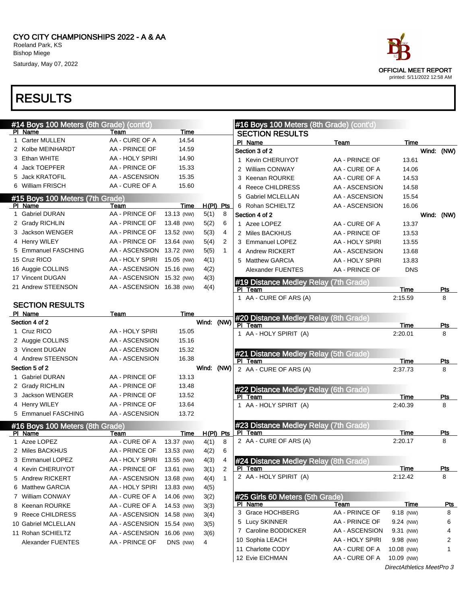|   | #14 Boys 100 Meters (6th Grade) (cont'd)   |                                  |            |             |              | #16 Boys 100 Meters (8th Grade) (cont'd)                |                 |                 |                 |
|---|--------------------------------------------|----------------------------------|------------|-------------|--------------|---------------------------------------------------------|-----------------|-----------------|-----------------|
|   | PI Name                                    | Team                             | Time       |             |              | <b>SECTION RESULTS</b>                                  |                 |                 |                 |
|   | 1 Carter MULLEN                            | AA - CURE OF A                   | 14.54      |             |              | PI Name                                                 | Team            | Time            |                 |
|   | 2 Kolbe MEINHARDT                          | AA - PRINCE OF                   | 14.59      |             |              | Section 3 of 2                                          |                 |                 | Wind: (NW)      |
|   | 3 Ethan WHITE                              | AA - HOLY SPIRI                  | 14.90      |             |              | 1 Kevin CHERUIYOT                                       | AA - PRINCE OF  | 13.61           |                 |
|   | 4 Jack TOEPFER                             | AA - PRINCE OF                   | 15.33      |             |              | 2 William CONWAY                                        | AA - CURE OF A  | 14.06           |                 |
|   | Jack KRATOFIL                              | AA - ASCENSION                   | 15.35      |             |              | 3 Keenan ROURKE                                         | AA - CURE OF A  | 14.53           |                 |
|   | 6 William FRISCH                           | AA - CURE OF A                   | 15.60      |             |              | 4 Reece CHILDRESS                                       | AA - ASCENSION  | 14.58           |                 |
|   | #15 Boys 100 Meters (7th Grade)            |                                  |            |             |              | 5 Gabriel MCLELLAN                                      | AA - ASCENSION  | 15.54           |                 |
|   | PI Name                                    | Team                             | Time       | $H(PI)$ Pts |              | 6 Rohan SCHIELTZ                                        | AA - ASCENSION  | 16.06           |                 |
|   | 1 Gabriel DURAN                            | AA - PRINCE OF                   | 13.13 (NW) | 5(1)        | 8            | Section 4 of 2                                          |                 |                 | Wind: (NW)      |
|   | 2 Grady RICHLIN                            | AA - PRINCE OF                   | 13.48 (NW) | 5(2)        | 6            | 1 Azee LOPEZ                                            | AA - CURE OF A  | 13.37           |                 |
|   | 3 Jackson WENGER                           | AA - PRINCE OF                   | 13.52 (NW) | 5(3)        | 4            | 2 Miles BACKHUS                                         | AA - PRINCE OF  | 13.53           |                 |
|   | 4 Henry WILEY                              | AA - PRINCE OF                   | 13.64 (NW) | 5(4)        | 2            | 3 Emmanuel LOPEZ                                        | AA - HOLY SPIRI | 13.55           |                 |
|   | 5 Emmanuel FASCHING                        | AA - ASCENSION                   | 13.72 (NW) | 5(5)        | $\mathbf{1}$ | 4 Andrew RICKERT                                        | AA - ASCENSION  | 13.68           |                 |
|   | 15 Cruz RICO                               | AA - HOLY SPIRI                  | 15.05 (NW) | 4(1)        |              | 5 Matthew GARCIA                                        | AA - HOLY SPIRI | 13.83           |                 |
|   | 16 Auggie COLLINS                          | AA - ASCENSION 15.16 (NW)        |            | 4(2)        |              | Alexander FUENTES                                       | AA - PRINCE OF  | <b>DNS</b>      |                 |
|   | 17 Vincent DUGAN                           | AA - ASCENSION 15.32 (NW)        |            | 4(3)        |              |                                                         |                 |                 |                 |
|   | 21 Andrew STEENSON                         | AA - ASCENSION 16.38 (NW)        |            | 4(4)        |              | #19 Distance Medley Relay (7th Grade)                   |                 |                 |                 |
|   |                                            |                                  |            |             |              | PI Team<br>1 AA - CURE OF ARS (A)                       |                 | Time<br>2:15.59 | <b>Pts</b><br>8 |
|   | <b>SECTION RESULTS</b>                     |                                  |            |             |              |                                                         |                 |                 |                 |
|   | PI Name                                    | Team                             | Time       |             |              |                                                         |                 |                 |                 |
|   | Section 4 of 2                             |                                  |            | Wind: (NW)  |              | #20 Distance Medley Relay (8th Grade)<br>PI Team        |                 | Time            | <b>Pts</b>      |
|   | 1 Cruz RICO                                | AA - HOLY SPIRI                  | 15.05      |             |              | 1 AA - HOLY SPIRIT (A)                                  |                 | 2:20.01         | 8               |
|   | 2 Auggie COLLINS                           | AA - ASCENSION                   | 15.16      |             |              |                                                         |                 |                 |                 |
|   | 3 Vincent DUGAN                            | AA - ASCENSION                   | 15.32      |             |              |                                                         |                 |                 |                 |
|   | 4 Andrew STEENSON                          | AA - ASCENSION                   | 16.38      |             |              | #21 Distance Medley Relay (5th Grade)<br>PI Team        |                 | Time            | Pts             |
|   | Section 5 of 2                             |                                  |            | Wind: (NW)  |              | 2 AA - CURE OF ARS (A)                                  |                 | 2:37.73         | 8               |
|   | 1 Gabriel DURAN                            | AA - PRINCE OF                   | 13.13      |             |              |                                                         |                 |                 |                 |
|   | 2 Grady RICHLIN                            | AA - PRINCE OF                   | 13.48      |             |              |                                                         |                 |                 |                 |
|   | 3 Jackson WENGER                           | AA - PRINCE OF                   | 13.52      |             |              | #22 Distance Medley Relay (6th Grade)<br>PI Team        |                 | Time            | Pts             |
|   | 4 Henry WILEY                              | AA - PRINCE OF                   | 13.64      |             |              | 1 AA - HOLY SPIRIT (A)                                  |                 | 2:40.39         | 8               |
|   | 5 Emmanuel FASCHING                        | AA - ASCENSION                   | 13.72      |             |              |                                                         |                 |                 |                 |
|   |                                            |                                  |            |             |              |                                                         |                 |                 |                 |
|   | #16 Boys 100 Meters (8th Grade)<br>PI Name | Team                             | Time       | $H(PI)$ Pts |              | #23 Distance Medley Relay (7th Grade)<br>PI Team        |                 | Time            | <u>Pts</u>      |
|   | 1 Azee LOPEZ                               | AA - CURE OF A                   | 13.37 (NW) | 4(1)        | 8            | 2 AA - CURE OF ARS (A)                                  |                 | 2:20.17         | 8               |
|   | 2 Miles BACKHUS                            | AA - PRINCE OF                   | 13.53 (NW) | 4(2)        | 6            |                                                         |                 |                 |                 |
| 3 | Emmanuel LOPEZ                             | AA - HOLY SPIRI                  | 13.55 (NW) | 4(3)        |              |                                                         |                 |                 |                 |
|   | 4 Kevin CHERUIYOT                          | AA - PRINCE OF                   | 13.61 (NW) |             | 4<br>2       | #24 Distance Medley Relay (8th Grade)<br><u>PI Team</u> |                 | Time            | <u>Pts</u>      |
|   | 5 Andrew RICKERT                           | AA - ASCENSION                   |            | 3(1)        | 1            | 2 AA - HOLY SPIRIT (A)                                  |                 | 2:12.42         | 8               |
|   | 6 Matthew GARCIA                           | AA - HOLY SPIRI                  | 13.68 (NW) | 4(4)        |              |                                                         |                 |                 |                 |
|   |                                            |                                  | 13.83 (NW) | 4(5)        |              |                                                         |                 |                 |                 |
|   | 7 William CONWAY<br>8 Keenan ROURKE        | AA - CURE OF A<br>AA - CURE OF A | 14.06 (NW) | 3(2)        |              | #25 Girls 60 Meters (5th Grade)<br>PI Name              | Team            | <b>Time</b>     | <u>Pts</u>      |
|   |                                            |                                  | 14.53 (NW) | 3(3)        |              | 3 Grace HOCHBERG                                        | AA - PRINCE OF  | 9.18 (NW)       | 8               |
|   | 9 Reece CHILDRESS                          | AA - ASCENSION 14.58 (NW)        |            | 3(4)        |              | 5 Lucy SKINNER                                          | AA - PRINCE OF  | $9.24$ (NW)     | 6               |
|   | 10 Gabriel MCLELLAN                        | AA - ASCENSION                   | 15.54 (NW) | 3(5)        |              | 7 Caroline BODDICKER                                    | AA - ASCENSION  | 9.31 (NW)       | 4               |
|   | 11 Rohan SCHIELTZ                          | AA - ASCENSION                   | 16.06 (NW) | 3(6)        |              | 10 Sophia LEACH                                         | AA - HOLY SPIRI | 9.98 (NW)       | 2               |
|   | Alexander FUENTES                          | AA - PRINCE OF                   | DNS (NW)   | 4           |              | 11 Charlotte CODY                                       | AA - CURE OF A  | 10.08 (NW)      |                 |
|   |                                            |                                  |            |             |              | 12 Evie EICHMAN                                         | AA - CURE OF A  | 10.09 (NW)      |                 |
|   |                                            |                                  |            |             |              |                                                         |                 |                 |                 |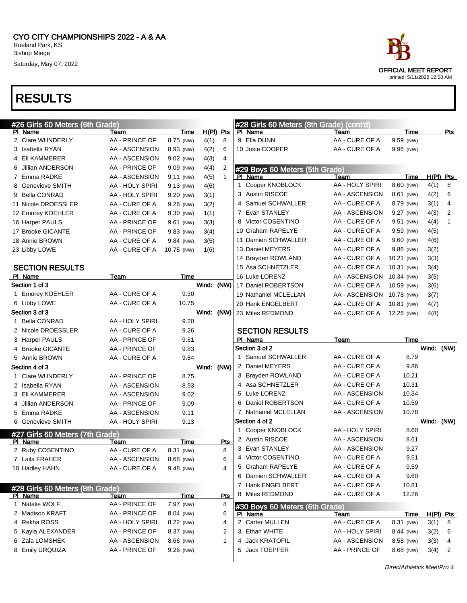

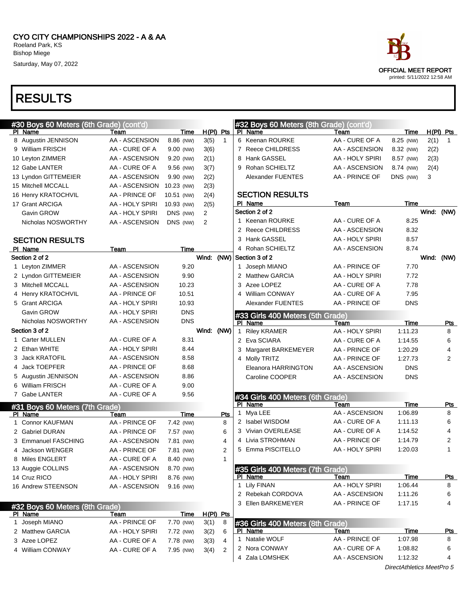### RESULTS



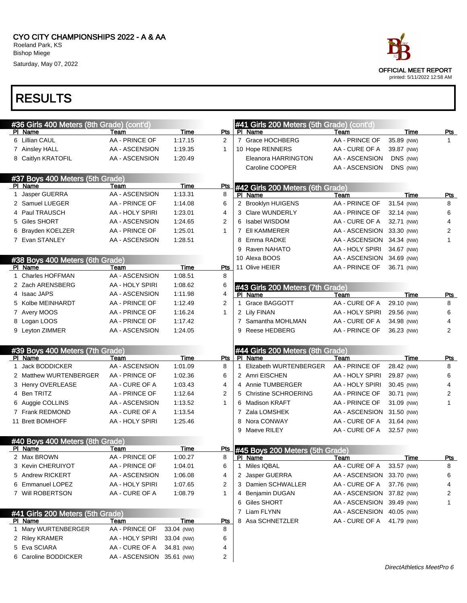# OFFICIAL MEET REPORT printed: 5/11/2022 12:58 AM

|    | #36 Girls 400 Meters (8th Grade) (cont'd)   |                                  |             |                                | #41 Girls 200 Meters (5th Grade) (cont'd)  |                                  |                          |                              |
|----|---------------------------------------------|----------------------------------|-------------|--------------------------------|--------------------------------------------|----------------------------------|--------------------------|------------------------------|
|    | PI Name                                     | Team                             | Time        | Pts                            | PI Name                                    | Team                             | Time                     | <u>Pts</u>                   |
|    | 6 Lillian CAUL                              | AA - PRINCE OF                   | 1:17.15     | $\overline{2}$                 | 7 Grace HOCHBERG                           | AA - PRINCE OF                   | 35.89 (NW)               | $\mathbf{1}$                 |
|    | 7 Ainsley HALL                              | AA - ASCENSION                   | 1:19.35     | $\mathbf{1}$                   | 10 Hope RENNERS                            | AA - CURE OF A                   | 39.87 (NW)               |                              |
|    | 8 Caitlyn KRATOFIL                          | AA - ASCENSION                   | 1:20.49     |                                | Eleanora HARRINGTON                        | AA - ASCENSION                   | DNS (NW)                 |                              |
|    |                                             |                                  |             |                                | Caroline COOPER                            | AA - ASCENSION                   | DNS (NW)                 |                              |
|    | #37 Boys 400 Meters (5th Grade)             |                                  |             |                                |                                            |                                  |                          |                              |
|    | PI Name                                     | Team                             | Time        | <b>Pts</b>                     | #42 Girls 200 Meters (6th Grade)           |                                  |                          |                              |
| 1. | Jasper GUERRA                               | AA - ASCENSION                   | 1:13.31     | 8                              | PI Name                                    | Team                             | Time                     | <b>Pts</b>                   |
|    | 2 Samuel LUEGER                             | AA - PRINCE OF                   | 1:14.08     | 6                              | 2 Brooklyn HUIGENS                         | AA - PRINCE OF                   | 31.54 (NW)               | 8                            |
| 4  | Paul TRAUSCH                                | AA - HOLY SPIRI                  | 1:23.01     | 4                              | 3 Clare WUNDERLY                           | AA - PRINCE OF                   | 32.14 (NW)               | 6                            |
| 5  | Giles SHORT                                 | AA - ASCENSION                   | 1:24.65     | $\overline{2}$                 | 6 Isabel WISDOM                            | AA - CURE OF A                   | 32.71 (NW)               | $\overline{4}$               |
| 6  | Brayden KOELZER                             | AA - PRINCE OF                   | 1:25.01     | $\mathbf{1}$                   | 7 EII KAMMERER                             | AA - ASCENSION 33.30 (NW)        |                          | 2                            |
|    | 7 Evan STANLEY                              | AA - ASCENSION                   | 1:28.51     |                                | 8 Emma RADKE                               | AA - ASCENSION 34.34 (NW)        |                          | $\mathbf{1}$                 |
|    |                                             |                                  |             |                                | 9 Raven NAHATO                             | AA - HOLY SPIRI                  | 34.67 (NW)               |                              |
|    | #38 Boys 400 Meters (6th Grade)             |                                  |             |                                | 10 Alexa BOOS                              | AA - ASCENSION 34.69 (NW)        |                          |                              |
|    | PI Name                                     | Team                             | <b>Time</b> | Pts                            | 11 Olive HEIER                             | AA - PRINCE OF                   | 36.71 (NW)               |                              |
|    | 1 Charles HOFFMAN                           | AA - ASCENSION                   | 1:08.51     | 8                              |                                            |                                  |                          |                              |
|    | 2 Zach ARENSBERG                            | AA - HOLY SPIRI                  | 1:08.62     | 6                              | #43 Girls 200 Meters (7th Grade)           |                                  |                          |                              |
|    | 4 Isaac JAPS                                | AA - ASCENSION                   | 1:11.98     | 4                              | PI Name                                    | Team                             | Time                     | <u>Pts</u>                   |
|    | 5 Kolbe MEINHARDT                           | AA - PRINCE OF                   | 1:12.49     | 2                              | 1 Grace BAGGOTT                            | AA - CURE OF A                   | 29.10 (NW)               | 8                            |
|    | 7 Avery MOOS                                | AA - PRINCE OF                   | 1:16.24     | $\mathbf{1}$                   | 2 Lily FINAN                               | AA - HOLY SPIRI                  | 29.56 (NW)               | 6                            |
|    | 8 Logan LOOS                                | AA - PRINCE OF                   | 1:17.42     |                                | 7 Samantha MOHLMAN                         | AA - CURE OF A                   | 34.98 (NW)               | 4                            |
|    | 9 Leyton ZIMMER                             | AA - ASCENSION                   | 1:24.05     |                                | 9 Reese HEDBERG                            | AA - PRINCE OF                   | 36.23 (NW)               | 2                            |
|    |                                             |                                  |             |                                |                                            |                                  |                          |                              |
|    |                                             |                                  |             |                                |                                            |                                  |                          |                              |
|    | #39 Boys 400 Meters (7th Grade)             |                                  |             |                                | #44 Girls 200 Meters (8th Grade)           |                                  |                          |                              |
|    | PI Name                                     | Team                             | Time        | Pts                            | PI Name                                    | Team                             | Time                     | <u>Pts</u>                   |
|    | 1 Jack BODDICKER                            | AA - ASCENSION                   | 1:01.09     | 8                              | 1 Elizabeth WURTENBERGER                   | AA - PRINCE OF                   | 28.42 (NW)               | 8                            |
|    | 2 Matthew WURTENBERGER                      | AA - PRINCE OF                   | 1:02.36     | 6                              | 2 Amri EISCHEN                             | AA - HOLY SPIRI                  | 29.87 (NW)               | 6                            |
|    | 3 Henry OVERLEASE                           | AA - CURE OF A                   | 1:03.43     | 4                              | 4 Annie TUMBERGER                          | AA - HOLY SPIRI                  | 30.45 (NW)               | 4                            |
|    | 4 Ben TRITZ                                 | AA - PRINCE OF<br>AA - ASCENSION | 1:12.64     | $\overline{2}$<br>$\mathbf{1}$ | 5 Christine SCHROERING<br>6 Madison KRAFT  | AA - PRINCE OF                   | 30.71 (NW)               | $\overline{\mathbf{c}}$<br>1 |
|    | 6 Auggie COLLINS                            | AA - CURE OF A                   | 1:13.52     |                                | 7 Zala LOMSHEK                             | AA - PRINCE OF                   | 31.09 (NW)               |                              |
|    | 7 Frank REDMOND<br>11 Brett BOMHOFF         |                                  | 1:13.54     |                                | 8 Nora CONWAY                              | AA - ASCENSION 31.50 (NW)        |                          |                              |
|    |                                             | AA - HOLY SPIRI                  | 1:25.46     |                                | 9 Maeve RILEY                              | AA - CURE OF A<br>AA - CURE OF A | 31.64 (NW)<br>32.57 (NW) |                              |
|    |                                             |                                  |             |                                |                                            |                                  |                          |                              |
|    | #40 Boys 400 Meters (8th Grade)<br>PI Name  | Team                             | Time        | <u>Pts</u>                     |                                            |                                  |                          |                              |
|    | 2 Max BROWN                                 | AA - PRINCE OF                   | 1:00.27     | 8                              | #45 Boys 200 Meters (5th Grade)<br>PI Name | Team                             | Time                     | Pts                          |
|    | 3 Kevin CHERUIYOT                           | AA - PRINCE OF                   | 1:04.01     | 6                              | 1 Miles IQBAL                              | AA - CURE OF A                   | 33.57 (NW)               | 8                            |
|    | 5 Andrew RICKERT                            | AA - ASCENSION                   | 1:06.08     | 4                              | 2 Jasper GUERRA                            | AA - ASCENSION 33.70 (NW)        |                          | 6                            |
|    | 6 Emmanuel LOPEZ                            | AA - HOLY SPIRI                  | 1:07.65     | 2                              | 3 Damien SCHWALLER                         | AA - CURE OF A                   | 37.76 (NW)               | 4                            |
|    | 7 Will ROBERTSON                            | AA - CURE OF A                   | 1:08.79     | $\mathbf{1}$                   | 4 Benjamin DUGAN                           | AA - ASCENSION 37.82 (NW)        |                          | 2                            |
|    |                                             |                                  |             |                                | 6 Giles SHORT                              | AA - ASCENSION 39.49 (NW)        |                          | 1                            |
|    |                                             |                                  |             |                                | 7 Liam FLYNN                               | AA - ASCENSION 40.05 (NW)        |                          |                              |
|    | #41 Girls 200 Meters (5th Grade)<br>PI Name | Team                             | Time        | <u>Pts</u>                     | 8 Asa SCHNETZLER                           | AA - CURE OF A                   | 41.79 (NW)               |                              |
|    | 1 Mary WURTENBERGER                         | AA - PRINCE OF                   | 33.04 (NW)  | 8                              |                                            |                                  |                          |                              |
|    | 2 Riley KRAMER                              | AA - HOLY SPIRI                  | 33.04 (NW)  | 6                              |                                            |                                  |                          |                              |
|    | 5 Eva SCIARA                                | AA - CURE OF A                   | 34.81 (NW)  | 4                              |                                            |                                  |                          |                              |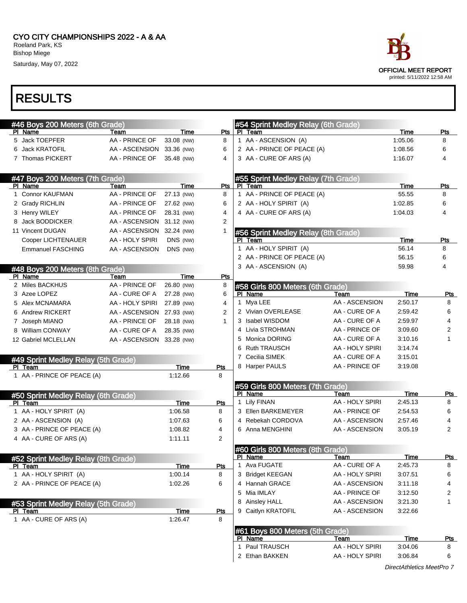

### RESULTS

| #46 Boys 200 Meters (6th Grade)     |                           |             |                | #54 Sprint Medley Relay (6th Grade) |                 |             |                |
|-------------------------------------|---------------------------|-------------|----------------|-------------------------------------|-----------------|-------------|----------------|
| PI Name                             | Team                      | Time        | Pts            | PI Team                             |                 | Time        | Pts            |
| 5 Jack TOEPFER                      | AA - PRINCE OF            | 33.08 (NW)  | 8              | 1 AA - ASCENSION (A)                |                 | 1:05.06     | 8              |
| 6 Jack KRATOFIL                     | AA - ASCENSION            | 33.36 (NW)  | 6              | 2 AA - PRINCE OF PEACE (A)          |                 | 1:08.56     | 6              |
| 7 Thomas PICKERT                    | AA - PRINCE OF            | 35.48 (NW)  | 4              | 3 AA - CURE OF ARS (A)              |                 | 1:16.07     | 4              |
| #47 Boys 200 Meters (7th Grade)     |                           |             |                | #55 Sprint Medley Relay (7th Grade) |                 |             |                |
| PI Name                             | Team                      | Time        | Pts            | PI Team                             |                 | Time        | Pts            |
| 1 Connor KAUFMAN                    | AA - PRINCE OF            | 27.13 (NW)  | 8              | 1 AA - PRINCE OF PEACE (A)          |                 | 55.55       | 8              |
| 2 Grady RICHLIN                     | AA - PRINCE OF            | 27.62 (NW)  | 6              | 2 AA - HOLY SPIRIT (A)              |                 | 1:02.85     | 6              |
| 3 Henry WILEY                       | AA - PRINCE OF            | 28.31 (NW)  | 4              | 4 AA - CURE OF ARS (A)              |                 | 1:04.03     | 4              |
| Jack BODDICKER                      | AA - ASCENSION            | 31.12 (NW)  | $\overline{2}$ |                                     |                 |             |                |
| 11 Vincent DUGAN                    | AA - ASCENSION            | 32.24 (NW)  | 1              | #56 Sprint Medley Relay (8th Grade) |                 |             |                |
| Cooper LICHTENAUER                  | AA - HOLY SPIRI           | DNS (NW)    |                | PI Team                             |                 | Time        | Pts            |
| <b>Emmanuel FASCHING</b>            | AA - ASCENSION            | DNS (NW)    |                | 1 AA - HOLY SPIRIT (A)              |                 | 56.14       | 8              |
|                                     |                           |             |                | 2 AA - PRINCE OF PEACE (A)          |                 | 56.15       | 6              |
| #48 Boys 200 Meters (8th Grade)     |                           |             |                | 3 AA - ASCENSION (A)                |                 | 59.98       | 4              |
| PI Name                             | Team                      | Time        | Pts            |                                     |                 |             |                |
| 2 Miles BACKHUS                     | AA - PRINCE OF            | 26.80 (NW)  | 8              | #58 Girls 800 Meters (6th Grade)    |                 |             |                |
| 3 Azee LOPEZ                        | AA - CURE OF A            | 27.28 (NW)  | 6              | PI Name                             | Team            | Time        | Pts            |
| 5 Alex MCNAMARA                     | AA - HOLY SPIRI           | 27.89 (NW)  | 4              | 1 Mya LEE                           | AA - ASCENSION  | 2:50.17     | 8              |
| 6 Andrew RICKERT                    | AA - ASCENSION 27.93 (NW) |             | 2              | 2 Vivian OVERLEASE                  | AA - CURE OF A  | 2:59.42     | 6              |
| 7 Joseph MIANO                      | AA - PRINCE OF            | 28.18 (NW)  | 1              | 3 Isabel WISDOM                     | AA - CURE OF A  | 2:59.97     | 4              |
| 8 William CONWAY                    | AA - CURE OF A            | 28.35 (NW)  |                | 4 Livia STROHMAN                    | AA - PRINCE OF  | 3:09.60     | 2              |
| 12 Gabriel MCLELLAN                 | AA - ASCENSION 33.28 (NW) |             |                | 5 Monica DORING                     | AA - CURE OF A  | 3:10.16     | $\mathbf{1}$   |
|                                     |                           |             |                | 6 Ruth TRAUSCH                      | AA - HOLY SPIRI | 3:14.74     |                |
| #49 Sprint Medley Relay (5th Grade) |                           |             |                | 7 Cecilia SIMEK                     | AA - CURE OF A  | 3:15.01     |                |
| PI Team                             |                           | <b>Time</b> | Pts            | 8 Harper PAULS                      | AA - PRINCE OF  | 3:19.08     |                |
| 1 AA - PRINCE OF PEACE (A)          |                           | 1:12.66     | 8              |                                     |                 |             |                |
|                                     |                           |             |                | #59 Girls 800 Meters (7th Grade)    |                 |             |                |
| #50 Sprint Medley Relay (6th Grade) |                           |             |                | PI Name                             | Team            | Time        | <b>Pts</b>     |
| PI Team                             |                           | Time        | Pts            | 1 Lily FINAN                        | AA - HOLY SPIRI | 2:45.13     | 8              |
| 1 AA - HOLY SPIRIT (A)              |                           | 1:06.58     | 8              | 3 Ellen BARKEMEYER                  | AA - PRINCE OF  | 2:54.53     | 6              |
| 2 AA - ASCENSION (A)                |                           | 1:07.63     | 6              | 4 Rebekah CORDOVA                   | AA - ASCENSION  | 2:57.46     | 4              |
| 3 AA - PRINCE OF PEACE (A)          |                           | 1:08.82     | 4              | 6 Anna MENGHINI                     | AA - ASCENSION  | 3:05.19     | $\overline{2}$ |
| 4 AA - CURE OF ARS (A)              |                           | 1:11.11     | 2              |                                     |                 |             |                |
|                                     |                           |             |                | #60 Girls 800 Meters (8th Grade)    |                 |             |                |
| #52 Sprint Medley Relay (8th Grade) |                           |             |                | PI Name                             | <u>Team</u>     | <u>Time</u> | <u>Pts</u>     |
| PI Team                             |                           | <u>Time</u> | Pts            | 1 Ava FUGATE                        | AA - CURE OF A  | 2:45.73     | 8              |
| 1 AA - HOLY SPIRIT (A)              |                           | 1:00.14     | 8              | 3 Bridget KEEGAN                    | AA - HOLY SPIRI | 3:07.51     | 6              |
| 2 AA - PRINCE OF PEACE (A)          |                           | 1:02.26     | 6              | 4 Hannah GRACE                      | AA - ASCENSION  | 3:11.18     | 4              |
|                                     |                           |             |                | 5 Mia IMLAY                         | AA - PRINCE OF  | 3:12.50     | 2              |
| #53 Sprint Medley Relay (5th Grade) |                           |             |                | 8 Ainsley HALL                      | AA - ASCENSION  | 3:21.30     | 1              |
| PI Team                             |                           | <u>Time</u> | Pts            | 9 Caitlyn KRATOFIL                  | AA - ASCENSION  | 3:22.66     |                |
| 1 AA - CURE OF ARS (A)              |                           | 1:26.47     | 8              |                                     |                 |             |                |
|                                     |                           |             |                | #61 Boys 800 Meters (5th Grade)     |                 |             |                |
|                                     |                           |             |                | PI Name                             | Team            | Time        | <u>Pts</u>     |
|                                     |                           |             |                | 1 Paul TRAUSCH                      | AA - HOLY SPIRI | 3:04.06     | 8              |
|                                     |                           |             |                | 2 Ethan BAKKEN                      | AA - HOLY SPIRI | 3:06.84     | 6              |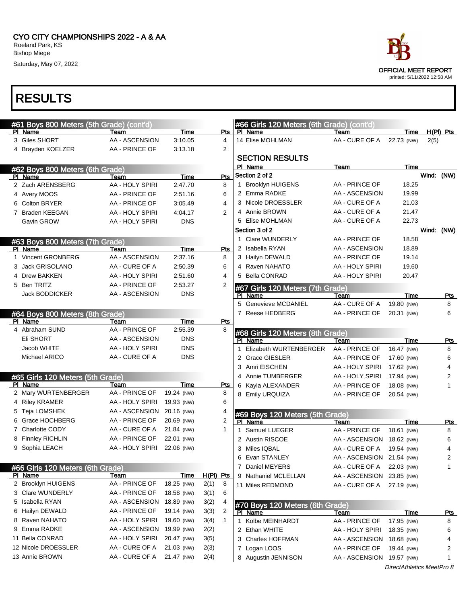| #61 Boys 800 Meters (5th Grade) (cont'd) |                 |            |           |                | #66 Girls 120 Meters (6th Grade) (cont'd)         |                           |                           |            |             |
|------------------------------------------|-----------------|------------|-----------|----------------|---------------------------------------------------|---------------------------|---------------------------|------------|-------------|
| PI Name                                  | Team            | Time       |           | Pts            | PI Name                                           | Team                      | Time                      |            | $H(PI)$ Pts |
| 3 Giles SHORT                            | AA - ASCENSION  | 3:10.05    |           | 4              | 14 Elise MOHLMAN                                  | AA - CURE OF A            | 22.73 (NW)                | 2(5)       |             |
| 4 Brayden KOELZER                        | AA - PRINCE OF  | 3:13.18    |           | 2              |                                                   |                           |                           |            |             |
|                                          |                 |            |           |                | <b>SECTION RESULTS</b>                            |                           |                           |            |             |
| #62 Boys 800 Meters (6th Grade)          |                 |            |           |                | PI Name                                           | Team                      | Time                      |            |             |
| PI Name                                  | Team            | Time       |           | Pts            | Section 2 of 2                                    |                           |                           | Wind: (NW) |             |
| 2 Zach ARENSBERG                         | AA - HOLY SPIRI | 2:47.70    |           | 8              | 1 Brooklyn HUIGENS                                | AA - PRINCE OF            | 18.25                     |            |             |
| 4 Avery MOOS                             | AA - PRINCE OF  | 2:51.16    |           | 6              | 2 Emma RADKE                                      | AA - ASCENSION            | 19.99                     |            |             |
| 6 Colton BRYER                           | AA - PRINCE OF  | 3:05.49    |           | 4              | 3 Nicole DROESSLER                                | AA - CURE OF A            | 21.03                     |            |             |
| 7 Braden KEEGAN                          | AA - HOLY SPIRI | 4:04.17    |           | 2              | 4 Annie BROWN                                     | AA - CURE OF A            | 21.47                     |            |             |
| Gavin GROW                               | AA - HOLY SPIRI | <b>DNS</b> |           |                | 5 Elise MOHLMAN                                   | AA - CURE OF A            | 22.73                     |            |             |
|                                          |                 |            |           |                | Section 3 of 2                                    |                           |                           | Wind: (NW) |             |
| #63 Boys 800 Meters (7th Grade)          |                 |            |           |                | 1 Clare WUNDERLY                                  | AA - PRINCE OF            | 18.58                     |            |             |
| PI Name                                  | Team            | Time       |           | Pts            | 2 Isabella RYAN                                   | AA - ASCENSION            | 18.89                     |            |             |
| 1 Vincent GRONBERG                       | AA - ASCENSION  | 2:37.16    |           | 8              | 3 Hailyn DEWALD                                   | AA - PRINCE OF            | 19.14                     |            |             |
| 3 Jack GRISOLANO                         | AA - CURE OF A  | 2:50.39    |           | 6              | 4 Raven NAHATO                                    | AA - HOLY SPIRI           | 19.60                     |            |             |
| 4 Drew BAKKEN                            | AA - HOLY SPIRI | 2:51.60    |           | 4              | 5 Bella CONRAD                                    | AA - HOLY SPIRI           | 20.47                     |            |             |
| 5 Ben TRITZ                              | AA - PRINCE OF  | 2:53.27    |           | $\overline{2}$ |                                                   |                           |                           |            |             |
| Jack BODDICKER                           | AA - ASCENSION  | <b>DNS</b> |           |                | <b>67 Girls 120 Meters (7th Grade)</b><br>PI Name | Team                      | Time                      |            | <u>Pts</u>  |
|                                          |                 |            |           |                | 5 Genevieve MCDANIEL                              | AA - CURE OF A            | 19.80 (NW)                |            | 8           |
| #64 Boys 800 Meters (8th Grade)          |                 |            |           |                | 7 Reese HEDBERG                                   | AA - PRINCE OF            | 20.31 (NW)                |            | 6           |
| PI Name                                  | Team            | Time       |           | Pts            |                                                   |                           |                           |            |             |
| 4 Abraham SUND                           | AA - PRINCE OF  | 2:55.39    |           | 8              | #68 Girls 120 Meters (8th Grade)                  |                           |                           |            |             |
| Eli SHORT                                | AA - ASCENSION  | <b>DNS</b> |           |                | PI Name                                           | Team                      | Time                      |            | Pts         |
| Jacob WHITE                              | AA - HOLY SPIRI | <b>DNS</b> |           |                | Elizabeth WURTENBERGER<br>1                       | AA - PRINCE OF            | 16.47 (NW)                |            | 8           |
| Michael ARICO                            | AA - CURE OF A  | <b>DNS</b> |           |                | 2 Grace GIESLER                                   | AA - PRINCE OF            | 17.60 (NW)                |            | 6           |
|                                          |                 |            |           |                | 3 Amri EISCHEN                                    | AA - HOLY SPIRI           | 17.62 (NW)                |            | 4           |
| #65 Girls 120 Meters (5th Grade)         |                 |            |           |                | 4 Annie TUMBERGER                                 | AA - HOLY SPIRI           | 17.94 (NW)                |            | 2           |
| PI Name                                  | Team            | Time       |           | Pts            | 6 Kayla ALEXANDER                                 | AA - PRINCE OF            | 18.08 (NW)                |            | 1           |
| 2 Mary WURTENBERGER                      | AA - PRINCE OF  | 19.24 (NW) |           | 8              | 8 Emily URQUIZA                                   | AA - PRINCE OF            | 20.54 (NW)                |            |             |
| 4 Riley KRAMER                           | AA - HOLY SPIRI | 19.93 (NW) |           | 6              |                                                   |                           |                           |            |             |
| 5 Teja LOMSHEK                           | AA - ASCENSION  | 20.16 (NW) |           | 4              | #69 Boys 120 Meters (5th Grade)                   |                           |                           |            |             |
| <b>Grace HOCHBERG</b><br>6.              | AA - PRINCE OF  | 20.69 (NW) |           | 2              | PI Name                                           | Team                      | Time                      |            | <b>Pts</b>  |
| <b>Charlotte CODY</b><br>7               | AA - CURE OF A  | 21.84 (NW) |           | $\mathbf{1}$   | 1 Samuel LUEGER                                   | AA - PRINCE OF            | 18.61 (NW)                |            | 8           |
| 8 Finnley RICHLIN                        | AA - PRINCE OF  | 22.01 (NW) |           |                | 2 Austin RISCOE                                   | AA - ASCENSION 18.62 (NW) |                           |            | 6           |
| 9 Sophia LEACH                           | AA - HOLY SPIRI | 22.06 (NW) |           |                | 3 Miles IQBAL                                     | AA - CURE OF A            | 19.54 (NW)                |            | 4           |
|                                          |                 |            |           |                | 6 Evan STANLEY                                    | AA - ASCENSION 21.54 (NW) |                           |            | 2           |
| #66 Girls 120 Meters (6th Grade)         |                 |            |           |                | 7 Daniel MEYERS                                   | AA - CURE OF A            | 22.03 (NW)                |            | 1           |
| PI Name                                  | Team            | Time       | H(PI) Pts |                | 9 Nathaniel MCLELLAN                              | AA - ASCENSION 23.85 (NW) |                           |            |             |
| 2 Brooklyn HUIGENS                       | AA - PRINCE OF  | 18.25 (NW) | 2(1)      | 8              | 11 Miles REDMOND                                  | AA - CURE OF A            | 27.19 (NW)                |            |             |
| 3 Clare WUNDERLY                         | AA - PRINCE OF  | 18.58 (NW) | 3(1)      | 6              |                                                   |                           |                           |            |             |
| 5 Isabella RYAN                          | AA - ASCENSION  | 18.89 (NW) | 3(2)      | 4              | #70 Boys 120 Meters (6th Grade)                   |                           |                           |            |             |
| 6 Hailyn DEWALD                          | AA - PRINCE OF  | 19.14 (NW) | 3(3)      | 2              | PI Name                                           | Team                      | Time                      |            | <u>Pts</u>  |
| 8 Raven NAHATO                           | AA - HOLY SPIRI | 19.60 (NW) | 3(4)      | 1              | 1 Kolbe MEINHARDT                                 | AA - PRINCE OF            | 17.95 (NW)                |            | 8           |
| 9 Emma RADKE                             | AA - ASCENSION  | 19.99 (NW) | 2(2)      |                | 2 Ethan WHITE                                     | AA - HOLY SPIRI           | 18.35 (NW)                |            | 6           |
| 11 Bella CONRAD                          | AA - HOLY SPIRI | 20.47 (NW) | 3(5)      |                | 3 Charles HOFFMAN                                 | AA - ASCENSION 18.68 (NW) |                           |            | 4           |
| 12 Nicole DROESSLER                      | AA - CURE OF A  | 21.03 (NW) | 2(3)      |                | 7 Logan LOOS                                      | AA - PRINCE OF            | 19.44 (NW)                |            | 2           |
| 13 Annie BROWN                           | AA - CURE OF A  | 21.47 (NW) | 2(4)      |                | 8 Augustin JENNISON                               | AA - ASCENSION 19.57 (NW) |                           |            | 1           |
|                                          |                 |            |           |                |                                                   |                           | DirectAthletics MeetPro 8 |            |             |

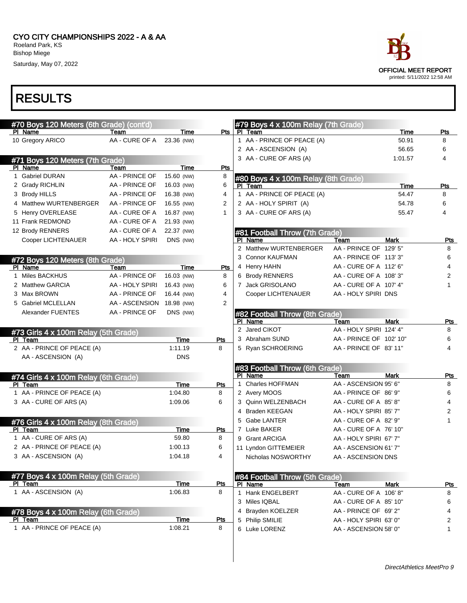#### CYO CITY CHAMPIONSHIPS 2022 - A & AA Roeland Park, KS Bishop Miege

Saturday, May 07, 2022

| #70 Boys 120 Meters (6th Grade) (cont'd) |                 |             |                | #79 Boys $4 \times 100$ m Relay (7th Grade) |                         |             |              |
|------------------------------------------|-----------------|-------------|----------------|---------------------------------------------|-------------------------|-------------|--------------|
| PI Name                                  | Team            | Time        | Pts            | PI Team                                     |                         | Time        | Pts          |
| 10 Gregory ARICO                         | AA - CURE OF A  | 23.36 (NW)  |                | 1 AA - PRINCE OF PEACE (A)                  |                         | 50.91       | 8            |
|                                          |                 |             |                | 2 AA - ASCENSION (A)                        |                         | 56.65       | 6            |
| #71 Boys 120 Meters (7th Grade)          |                 |             |                | 3 AA - CURE OF ARS (A)                      |                         | 1:01.57     | 4            |
| PI Name                                  | Team            | Time        | Pts            |                                             |                         |             |              |
| 1 Gabriel DURAN                          | AA - PRINCE OF  | 15.60 (NW)  | 8              | #80 Boys 4 x 100m Relay (8th Grade)         |                         |             |              |
| 2 Grady RICHLIN                          | AA - PRINCE OF  | 16.03 (NW)  | 6              | PI Team                                     |                         | <b>Time</b> | Pts          |
| 3 Brody HILLS                            | AA - PRINCE OF  | 16.38 (NW)  | 4              | 1 AA - PRINCE OF PEACE (A)                  |                         | 54.47       | 8            |
| 4 Matthew WURTENBERGER                   | AA - PRINCE OF  | 16.55 (NW)  | 2              | 2 AA - HOLY SPIRIT (A)                      |                         | 54.78       | 6            |
| 5 Henry OVERLEASE                        | AA - CURE OF A  | 16.87 (NW)  | 1              | 3 AA - CURE OF ARS (A)                      |                         | 55.47       | 4            |
| 11 Frank REDMOND                         | AA - CURE OF A  | 21.93 (NW)  |                |                                             |                         |             |              |
| 12 Brody RENNERS                         | AA - CURE OF A  | 22.37 (NW)  |                | #81 Football Throw (7th Grade)              |                         |             |              |
| Cooper LICHTENAUER                       | AA - HOLY SPIRI | DNS (NW)    |                | PI Name                                     | Team                    | <b>Mark</b> | <u>Pts</u>   |
|                                          |                 |             |                | 2 Matthew WURTENBERGER                      | AA - PRINCE OF 129' 5"  |             | 8            |
| #72 Boys 120 Meters (8th Grade)          |                 |             |                | 3 Connor KAUFMAN                            | AA - PRINCE OF 113'3"   |             | 6            |
| PI Name                                  | Team            | Time        | Pts            | 4 Henry HAHN                                | AA - CURE OF A 112' 6"  |             | 4            |
| 1 Miles BACKHUS                          | AA - PRINCE OF  | 16.03 (NW)  | 8              | 6 Brody RENNERS                             | AA - CURE OF A 108' 3"  |             | 2            |
| 2 Matthew GARCIA                         | AA - HOLY SPIRI | 16.43 (NW)  | 6              | 7 Jack GRISOLANO                            | AA - CURE OF A 107' 4"  |             | 1            |
| 3 Max BROWN                              | AA - PRINCE OF  | 16.44 (NW)  | 4              | Cooper LICHTENAUER                          | AA - HOLY SPIRI DNS     |             |              |
| 5 Gabriel MCLELLAN                       | AA - ASCENSION  | 18.98 (NW)  | $\overline{2}$ |                                             |                         |             |              |
| <b>Alexander FUENTES</b>                 | AA - PRINCE OF  | DNS (NW)    |                | #82 Football Throw (8th Grade)              |                         |             |              |
|                                          |                 |             |                | PI Name                                     | Team                    | <b>Mark</b> | <u>Pts</u>   |
| #73 Girls 4 x 100m Relay (5th Grade)     |                 |             |                | 2 Jared CIKOT                               | AA - HOLY SPIRI 124' 4" |             | 8            |
| PI Team                                  |                 | Time        | Pts            | 3 Abraham SUND                              | AA - PRINCE OF 102' 10" |             | 6            |
| 2 AA - PRINCE OF PEACE (A)               |                 | 1:11.19     | 8              | 5 Ryan SCHROERING                           | AA - PRINCE OF 83' 11"  |             | 4            |
| AA - ASCENSION (A)                       |                 | <b>DNS</b>  |                |                                             |                         |             |              |
|                                          |                 |             |                | #83 Football Throw (6th Grade)              |                         |             |              |
| #74 Girls 4 x 100m Relay (6th Grade)     |                 |             |                | PI Name                                     | Team                    | Mark        | <u>Pts</u>   |
| PI Team                                  |                 | Time        | Pts            | 1 Charles HOFFMAN                           | AA - ASCENSION 95' 6"   |             | 8            |
| 1 AA - PRINCE OF PEACE (A)               |                 | 1:04.80     | 8              | 2 Avery MOOS                                | AA - PRINCE OF 86' 9"   |             | 6            |
| 3 AA - CURE OF ARS (A)                   |                 | 1:09.06     | 6              | 3 Quinn WELZENBACH                          | AA - CURE OF A 85'8"    |             | 4            |
|                                          |                 |             |                | 4 Braden KEEGAN                             | AA - HOLY SPIRI 85' 7"  |             | 2            |
| #76 Girls 4 x 100m Relay (8th Grade)     |                 |             |                | 5 Gabe LANTER                               | AA - CURE OF A 82' 9"   |             | 1            |
| PI Team                                  |                 | Time        | Pts            | 7 Luke BAKER                                | AA - CURE OF A 76' 10"  |             |              |
| 1 AA - CURE OF ARS (A)                   |                 | 59.80       | 8              | 9 Grant ARCIGA                              | AA - HOLY SPIRI 67' 7"  |             |              |
| 2 AA - PRINCE OF PEACE (A)               |                 | 1:00.13     | 6              | 11 Lyndon GITTEMEIER                        | AA - ASCENSION 61' 7"   |             |              |
| 3 AA - ASCENSION (A)                     |                 | 1:04.18     | 4              | Nicholas NOSWORTHY                          | AA - ASCENSION DNS      |             |              |
| #77 Boys 4 x 100m Relay (5th Grade)      |                 |             |                | #84 Football Throw (5th Grade)              |                         |             |              |
| PI Team                                  |                 | <b>Time</b> | <u>Pts</u>     | PI Name                                     | Team                    | <b>Mark</b> | <u>Pts</u>   |
| 1 AA - ASCENSION (A)                     |                 | 1:06.83     | 8              | 1 Hank ENGELBERT                            | AA - CURE OF A 106' 8"  |             | 8            |
|                                          |                 |             |                | 3 Miles IQBAL                               | AA - CURE OF A 85' 10"  |             | 6            |
| #78 Boys 4 x 100m Relay (6th Grade)      |                 |             |                | 4 Brayden KOELZER                           | AA - PRINCE OF 69' 2"   |             | 4            |
| PI Team                                  |                 | <b>Time</b> | <b>Pts</b>     | 5 Philip SMILIE                             | AA - HOLY SPIRI 63' 0"  |             | 2            |
| 1 AA - PRINCE OF PEACE (A)               |                 | 1:08.21     | 8              | 6 Luke LORENZ                               | AA - ASCENSION 58' 0"   |             | $\mathbf{1}$ |
|                                          |                 |             |                |                                             |                         |             |              |

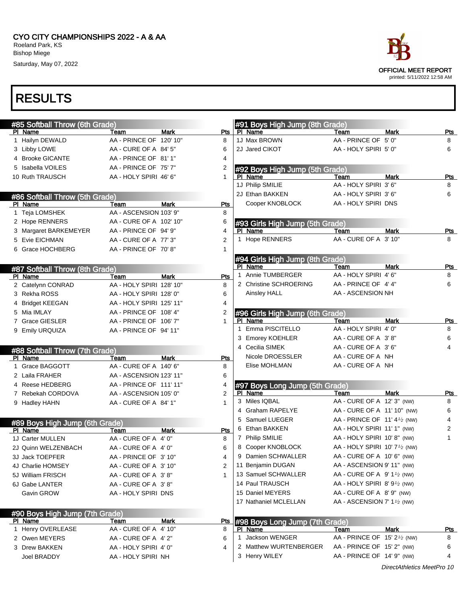

### RESULTS

| #85 Softball Throw (6th Grade) |                                             |             |                 | #91 Boys High Jump (8th Grade)          |                                                                                  |             |                 |
|--------------------------------|---------------------------------------------|-------------|-----------------|-----------------------------------------|----------------------------------------------------------------------------------|-------------|-----------------|
| PI Name                        | Team                                        | <b>Mark</b> | Pts             | PI Name                                 | Team                                                                             | <b>Mark</b> | Pts             |
| 1 Hailyn DEWALD                | AA - PRINCE OF 120' 10"                     |             | 8               | 1J Max BROWN                            | AA - PRINCE OF 5' 0"                                                             |             | 8               |
| 3 Libby LOWE                   | AA - CURE OF A 84' 5"                       |             | 6               | 2J Jared CIKOT                          | AA - HOLY SPIRI 5' 0"                                                            |             | 6               |
| 4 Brooke GICANTE               | AA - PRINCE OF 81'1"                        |             | 4               |                                         |                                                                                  |             |                 |
| 5 Isabella VOILES              | AA - PRINCE OF 75' 7"                       |             | 2               | #92 Boys High Jump (5th Grade)          |                                                                                  |             |                 |
| 10 Ruth TRAUSCH                | AA - HOLY SPIRI 46' 6"                      |             | $\mathbf{1}$    | PI Name                                 | Team                                                                             | <b>Mark</b> | Pts             |
|                                |                                             |             |                 | 1J Philip SMILIE                        | AA - HOLY SPIRI 3' 6"                                                            |             | 8               |
| #86 Softball Throw (5th Grade) |                                             |             |                 | 2J Ethan BAKKEN                         | AA - HOLY SPIRI 3' 6"                                                            |             | 6               |
| PI Name                        | Team                                        | <b>Mark</b> | <b>Pts</b>      | Cooper KNOBLOCK                         | AA - HOLY SPIRI DNS                                                              |             |                 |
| 1 Teja LOMSHEK                 | AA - ASCENSION 103' 9"                      |             | 8               |                                         |                                                                                  |             |                 |
| 2 Hope RENNERS                 | AA - CURE OF A 102' 10"                     |             | 6               | #93 Girls High Jump (5th Grade)         |                                                                                  |             |                 |
| 3 Margaret BARKEMEYER          | AA - PRINCE OF 94' 9"                       |             | 4               | PI Name                                 | Team                                                                             | <b>Mark</b> | <u>Pts</u>      |
| 5 Evie EICHMAN                 | AA - CURE OF A 77' 3"                       |             | $\overline{2}$  | 1 Hope RENNERS                          | AA - CURE OF A 3' 10"                                                            |             | 8               |
| 6 Grace HOCHBERG               | AA - PRINCE OF 70'8"                        |             | 1               |                                         |                                                                                  |             |                 |
|                                |                                             |             |                 | #94 Girls High Jump (8th Grade)         |                                                                                  |             |                 |
| #87 Softball Throw (8th Grade) |                                             |             |                 | PI Name                                 | Team                                                                             | <b>Mark</b> | Pts             |
| PI Name                        | Team                                        | <b>Mark</b> | Pts             | Annie TUMBERGER                         | AA - HOLY SPIRI 4'6"                                                             |             | 8               |
| 2 Catelynn CONRAD              | AA - HOLY SPIRI 128' 10"                    |             | 8               | 2 Christine SCHROERING                  | AA - PRINCE OF 4'4"                                                              |             | 6               |
| 3 Rekha ROSS                   | AA - HOLY SPIRI 128' 0"                     |             | 6               | Ainsley HALL                            | AA - ASCENSION NH                                                                |             |                 |
| 4 Bridget KEEGAN               | AA - HOLY SPIRI 125' 11"                    |             | 4               |                                         |                                                                                  |             |                 |
| 5 Mia IMLAY                    | AA - PRINCE OF 108' 4"                      |             | 2               | #96 Girls High Jump (6th Grade)         |                                                                                  |             |                 |
| 7 Grace GIESLER                | AA - PRINCE OF 106' 7"                      |             | $\mathbf{1}$    | PI Name                                 | Team                                                                             | <b>Mark</b> | Pts             |
| 9 Emily URQUIZA                | AA - PRINCE OF 94' 11"                      |             |                 | Emma PISCITELLO<br>$\mathbf{1}$         | AA - HOLY SPIRI 4' 0"                                                            |             | 8               |
|                                |                                             |             |                 | 3 Emorey KOEHLER                        | AA - CURE OF A 3'8"                                                              |             | 6               |
| #88 Softball Throw (7th Grade) |                                             |             |                 | 4 Cecilia SIMEK                         | AA - CURE OF A 3'6"                                                              |             | 4               |
| PI Name                        | Team                                        | <b>Mark</b> | Pts             | Nicole DROESSLER                        | AA - CURE OF A NH                                                                |             |                 |
| 1 Grace BAGGOTT                | AA - CURE OF A 140' 6"                      |             | 8               | Elise MOHLMAN                           | AA - CURE OF A NH                                                                |             |                 |
| 2 Laila FRAHER                 | AA - ASCENSION 123' 11"                     |             | 6               |                                         |                                                                                  |             |                 |
| 4 Reese HEDBERG                | AA - PRINCE OF 111'11"                      |             | 4               | #97 Boys Long Jump (5th Grade)          |                                                                                  |             |                 |
| 7 Rebekah CORDOVA              | AA - ASCENSION 105' 0"                      |             | $\overline{2}$  | PI Name                                 | Team                                                                             | <b>Mark</b> | Pts             |
| 9 Hadley HAHN                  | AA - CURE OF A 84' 1"                       |             | $\mathbf{1}$    | 3 Miles IQBAL                           | AA - CURE OF A 12' 3" (NW)                                                       |             | 8               |
|                                |                                             |             |                 | 4 Graham RAPELYE                        | AA - CURE OF A 11' 10" (NW)                                                      |             | 6               |
| #89 Boys High Jump (6th Grade) |                                             |             |                 | 5 Samuel LUEGER                         | AA - PRINCE OF 11' 4 $\frac{1}{2}$ (NW)                                          |             | 4               |
| PI Name                        | Team                                        | <b>Mark</b> | Pts             | 6 Ethan BAKKEN                          | AA - HOLY SPIRI 11' 1" (NW)                                                      |             | 2               |
| 1J Carter MULLEN               | AA - CURE OF A 4' 0"                        |             | 8               | 7 Philip SMILIE                         | AA - HOLY SPIRI 10' 8" (NW)                                                      |             | 1               |
| 2J Quinn WELZENBACH            | AA - CURE OF A 4' 0"                        |             | 6               | 8 Cooper KNOBLOCK                       | AA - HOLY SPIRI 10' 7 <sup>1</sup> / <sub>2</sub> (NW)                           |             |                 |
| 3J Jack TOEPFER                | AA - PRINCE OF 3' 10"                       |             | 4               | 9 Damien SCHWALLER                      | AA - CURE OF A 10' 6" (NW)                                                       |             |                 |
| 4J Charlie HOMSEY              | AA - CURE OF A 3' 10"                       |             | 2               | 11 Benjamin DUGAN                       | AA - ASCENSION 9' 11" (NW)                                                       |             |                 |
|                                | AA - CURE OF A 3'8"                         |             | 1               | 13 Samuel SCHWALLER                     | AA - CURE OF A $9'1\frac{1}{2}$ (NW)                                             |             |                 |
|                                |                                             |             |                 |                                         |                                                                                  |             |                 |
| 5J William FRISCH              |                                             |             |                 | 14 Paul TRAUSCH                         | AA - HOLY SPIRI 8' $91$ /2 (NW)                                                  |             |                 |
| 6J Gabe LANTER                 | AA - CURE OF A 3'8"                         |             |                 | 15 Daniel MEYERS                        |                                                                                  |             |                 |
| Gavin GROW                     | AA - HOLY SPIRI DNS                         |             |                 | 17 Nathaniel MCLELLAN                   | AA - CURE OF A 8'9" (NW)<br>AA - ASCENSION 7' 1 <sup>1</sup> / <sub>2</sub> (NW) |             |                 |
|                                |                                             |             |                 |                                         |                                                                                  |             |                 |
| #90 Boys High Jump (7th Grade) |                                             |             |                 |                                         |                                                                                  |             |                 |
| <b>PI</b> Name                 | Team                                        | Mark        | <u>Pts</u><br>8 | #98 Boys Long Jump (7th Grade)          |                                                                                  |             |                 |
| 1 Henry OVERLEASE              | AA - CURE OF A 4' 10"                       |             | 6               | PI Name<br>Jackson WENGER<br>1          | Team                                                                             | <b>Mark</b> | <u>Pts</u><br>8 |
| 2 Owen MEYERS                  | AA - CURE OF A 4' 2"                        |             |                 |                                         | AA - PRINCE OF 15' 2 <sup>1</sup> / <sub>2</sub> (NW)                            |             |                 |
| 3 Drew BAKKEN<br>Joel BRADDY   | AA - HOLY SPIRI 4' 0"<br>AA - HOLY SPIRI NH |             | 4               | 2 Matthew WURTENBERGER<br>3 Henry WILEY | AA - PRINCE OF 15' 2" (NW)<br>AA - PRINCE OF 14' 9" (NW)                         |             | 6<br>4          |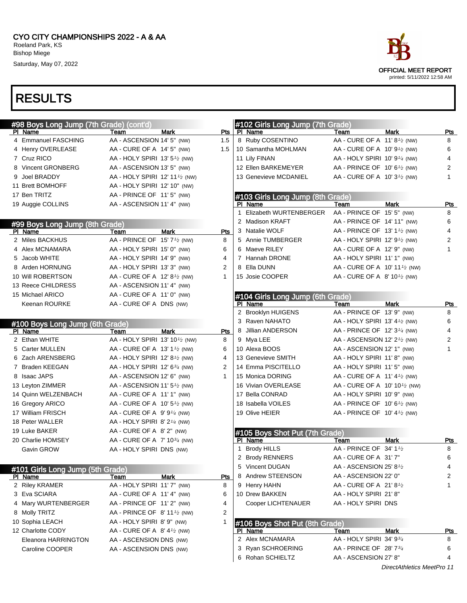| #98 Boys Long Jump (7th Grade) (cont'd) |                                                         |             |     | #102 Girls Long Jump (7th Grade) |                                                        |                            |            |
|-----------------------------------------|---------------------------------------------------------|-------------|-----|----------------------------------|--------------------------------------------------------|----------------------------|------------|
| PI Name                                 | Team                                                    | Mark        | Pts | PI Name                          | Team                                                   | <b>Mark</b>                | Pts        |
| 4 Emmanuel FASCHING                     | AA - ASCENSION 14' 5" (NW)                              |             | 1.5 | 8 Ruby COSENTINO                 | AA - CURE OF A 11' 8 <sup>1</sup> / <sub>2</sub> (NW)  |                            | 8          |
| 4 Henry OVERLEASE                       | AA - CURE OF A 14' 5" (NW)                              |             | 1.5 | 10 Samantha MOHLMAN              | AA - CURE OF A 10' 9 <sup>1</sup> / <sub>2</sub> (NW)  |                            | 6          |
| 7 Cruz RICO                             | AA - HOLY SPIRI 13' $5\frac{1}{2}$ (NW)                 |             |     | 11 Lily FINAN                    | AA - HOLY SPIRI 10' 9 <sup>1/4</sup> (NW)              |                            | 4          |
| 8 Vincent GRONBERG                      | AA - ASCENSION 13' 5" (NW)                              |             |     | 12 Ellen BARKEMEYER              | AA - PRINCE OF 10' $6\frac{1}{2}$ (NW)                 |                            | 2          |
| 9 Joel BRADDY                           | AA - HOLY SPIRI 12' 11 <sup>1</sup> / <sub>2</sub> (NW) |             |     | 13 Genevieve MCDANIEL            | AA - CURE OF A 10' 3 <sup>1</sup> / <sub>2</sub> (NW)  |                            | 1          |
| 11 Brett BOMHOFF                        | AA - HOLY SPIRI 12' 10" (NW)                            |             |     |                                  |                                                        |                            |            |
| 17 Ben TRITZ                            | AA - PRINCE OF 11'5" (NW)                               |             |     | #103 Girls Long Jump (8th Grade) |                                                        |                            |            |
| 19 Auggie COLLINS                       | AA - ASCENSION 11' 4" (NW)                              |             |     | PI Name                          | Team                                                   | <b>Mark</b>                | Pts        |
|                                         |                                                         |             |     | 1 Elizabeth WURTENBERGER         | AA - PRINCE OF 15' 5" (NW)                             |                            | 8          |
| #99 Boys Long Jump (8th Grade)          |                                                         |             |     | 2 Madison KRAFT                  | AA - PRINCE OF 14' 11" (NW)                            |                            | 6          |
| PI Name                                 | Team                                                    | <b>Mark</b> | Pts | 3 Natalie WOLF                   | AA - PRINCE OF 13' 1 $\frac{1}{2}$ (NW)                |                            | 4          |
| 2 Miles BACKHUS                         | AA - PRINCE OF 15' 7 <sup>1/2</sup> (NW)                |             | 8   | 5 Annie TUMBERGER                | AA - HOLY SPIRI 12' 91/2 (NW)                          |                            | 2          |
| 4 Alex MCNAMARA                         | AA - HOLY SPIRI 15' 0" (NW)                             |             | 6   | 6 Maeve RILEY                    | AA - CURE OF A 12' 9" (NW)                             |                            | 1          |
| 5 Jacob WHITE                           | AA - HOLY SPIRI 14' 9" (NW)                             |             | 4   | 7 Hannah DRONE                   | AA - HOLY SPIRI 11' 1" (NW)                            |                            |            |
| 8 Arden HORNUNG                         | AA - HOLY SPIRI 13' 3" (NW)                             |             | 2   | 8 Ella DUNN                      | AA - CURE OF A 10' 11 <sup>1</sup> / <sub>2</sub> (NW) |                            |            |
| 10 Will ROBERTSON                       | AA - CURE OF A 12' 8 <sup>1/2</sup> (NW)                |             | 1   | 15 Josie COOPER                  | AA - CURE OF A 8' 10 <sup>1</sup> / <sub>2</sub> (NW)  |                            |            |
| 13 Reece CHILDRESS                      | AA - ASCENSION 11' 4" (NW)                              |             |     |                                  |                                                        |                            |            |
| 15 Michael ARICO                        | AA - CURE OF A 11' 0" (NW)                              |             |     | #104 Girls Long Jump (6th Grade) |                                                        |                            |            |
| Keenan ROURKE                           | AA - CURE OF A DNS (NW)                                 |             |     | PI Name                          | Team                                                   | Mark                       | Pts        |
|                                         |                                                         |             |     | 2 Brooklyn HUIGENS               | AA - PRINCE OF 13' 9" (NW)                             |                            | 8          |
| #100 Boys Long Jump (6th Grade)         |                                                         |             |     | 3 Raven NAHATO                   | AA - HOLY SPIRI 13' 4 $\frac{1}{2}$ (NW)               |                            | 6          |
| PI Name                                 | Team                                                    | Mark        | Pts | 8 Jillian ANDERSON               | AA - PRINCE OF 12' $3\frac{1}{4}$ (NW)                 |                            | 4          |
| 2 Ethan WHITE                           | AA - HOLY SPIRI 13' 101/2 (NW)                          |             | 8   | 9 Mya LEE                        | AA - ASCENSION 12' $2\frac{1}{2}$ (NW)                 |                            | 2          |
| 5 Carter MULLEN                         | AA - CURE OF A 13' 1 <sup>1</sup> / <sub>2</sub> (NW)   |             | 6   | 10 Alexa BOOS                    | AA - ASCENSION 12' 1" (NW)                             |                            | 1          |
| 6 Zach ARENSBERG                        | AA - HOLY SPIRI 12' 8 $\frac{1}{2}$ (NW)                |             | 4   | 13 Genevieve SMITH               | AA - HOLY SPIRI 11'8" (NW)                             |                            |            |
| 7 Braden KEEGAN                         | AA - HOLY SPIRI 12' $6\frac{3}{4}$ (NW)                 |             | 2   | 14 Emma PISCITELLO               | AA - HOLY SPIRI 11' 5" (NW)                            |                            |            |
| 8 Isaac JAPS                            | AA - ASCENSION 12' 6" (NW)                              |             | 1   | 15 Monica DORING                 | AA - CURE OF A $11' 4\frac{1}{2}$ (NW)                 |                            |            |
| 13 Leyton ZIMMER                        | AA - ASCENSION 11' 5 <sup>1</sup> / <sub>2</sub> (NW)   |             |     | 16 Vivian OVERLEASE              | AA - CURE OF A $10' 10' / 2$ (NW)                      |                            |            |
| 14 Quinn WELZENBACH                     | AA - CURE OF A 11' 1" (NW)                              |             |     | 17 Bella CONRAD                  | AA - HOLY SPIRI 10' 9" (NW)                            |                            |            |
| 16 Gregory ARICO                        | AA - CURE OF A 10' 5 <sup>1</sup> / <sub>2</sub> (NW)   |             |     | 18 Isabella VOILES               | AA - PRINCE OF 10' 6 $\frac{1}{2}$ (NW)                |                            |            |
| 17 William FRISCH                       | AA - CURE OF A $9'9''$ (NW)                             |             |     | 19 Olive HEIER                   | AA - PRINCE OF 10' $4\frac{1}{2}$ (NW)                 |                            |            |
| 18 Peter WALLER                         | AA - HOLY SPIRI 8' $2\frac{1}{4}$ (NW)                  |             |     |                                  |                                                        |                            |            |
| 19 Luke BAKER                           | AA - CURE OF A 8' 2" (NW)                               |             |     | #105 Boys Shot Put (7th Grade)   |                                                        |                            |            |
| 20 Charlie HOMSEY                       | AA - CURE OF A 7' 10 <sup>3/4</sup> (NW)                |             |     | PI Name                          | Team                                                   | <b>Mark</b>                | Pts        |
| Gavin GROW                              | AA - HOLY SPIRI DNS (NW)                                |             |     | 1 Brody HILLS                    | AA - PRINCE OF 34' 11/2                                |                            | 8          |
|                                         |                                                         |             |     | 2 Brody RENNERS                  | AA - CURE OF A 31' 7"                                  |                            | 6          |
| #101 Girls Long Jump (5th Grade)        |                                                         |             |     | 5 Vincent DUGAN                  | AA - ASCENSION 25' 8 $\frac{1}{2}$                     |                            | 4          |
| PI Name                                 | Team                                                    | <b>Mark</b> | Pts | 8 Andrew STEENSON                | AA - ASCENSION 22' 0"                                  |                            | 2          |
| 2 Riley KRAMER                          | AA - HOLY SPIRI 11' 7" (NW)                             |             | 8   | 9 Henry HAHN                     | AA - CURE OF A 21'8 <sup>1</sup> /2                    |                            | 1.         |
| 3 Eva SCIARA                            | AA - CURE OF A 11' 4" (NW)                              |             | 6   | 10 Drew BAKKEN                   | AA - HOLY SPIRI 21'8"                                  |                            |            |
| 4 Mary WURTENBERGER                     | AA - PRINCE OF 11'2" (NW)                               |             | 4   | Cooper LICHTENAUER               | AA - HOLY SPIRI DNS                                    |                            |            |
| 8 Molly TRITZ                           | AA - PRINCE OF $8'$ 11 <sup>1</sup> / <sub>2</sub> (NW) |             | 2   |                                  |                                                        |                            |            |
| 10 Sophia LEACH                         | AA - HOLY SPIRI 8' 9" (NW)                              |             |     | #106 Boys Shot Put (8th Grade)   |                                                        |                            |            |
| 12 Charlotte CODY                       | AA - CURE OF A $8'$ 4 <sup>1</sup> / <sub>2</sub> (NW)  |             |     | PI Name                          | Team                                                   | Mark                       | <u>Pts</u> |
| Eleanora HARRINGTON                     | AA - ASCENSION DNS (NW)                                 |             |     | 2 Alex MCNAMARA                  | AA - HOLY SPIRI 34' 934                                |                            | 8          |
| Caroline COOPER                         | AA - ASCENSION DNS (NW)                                 |             |     | 3 Ryan SCHROERING                | AA - PRINCE OF 28' 734                                 |                            | 6          |
|                                         |                                                         |             |     | 6 Rohan SCHIELTZ                 | AA - ASCENSION 27' 8"                                  |                            | 4          |
|                                         |                                                         |             |     |                                  |                                                        | DirectAthletics MeetPro 11 |            |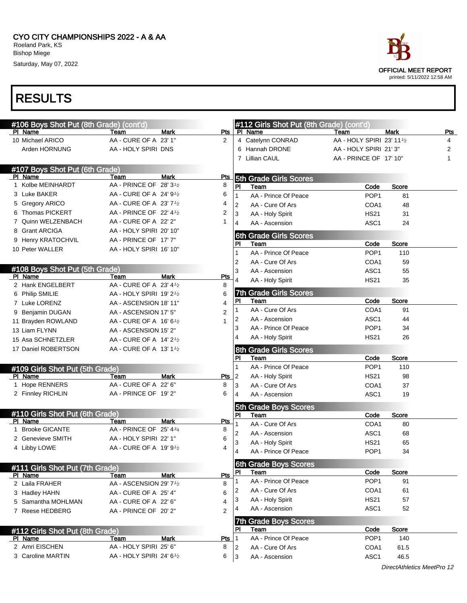|                           | race        |                                                            |  |
|---------------------------|-------------|------------------------------------------------------------|--|
|                           |             | <b>OFFICIAL MEET REPORT</b><br>printed: 5/11/2022 12:58 AM |  |
|                           |             |                                                            |  |
|                           |             |                                                            |  |
| n Grade) (cont'd)<br>Team | <b>Mark</b> | Pts                                                        |  |
| AA - HOLY SPIRI 23' 111/2 |             | 4                                                          |  |
| AA - HOLY SPIRI 21'3"     |             | 2                                                          |  |
|                           |             |                                                            |  |

| #106 Boys Shot Put (8th Grade) (cont'd)    |                                 |                           |                | #112 Girls Shot Put (8th Grade) (cont'd) |                           |             |     |
|--------------------------------------------|---------------------------------|---------------------------|----------------|------------------------------------------|---------------------------|-------------|-----|
| PI Name                                    | Team                            | <b>Mark</b><br>Pts        |                | PI Name                                  | Team                      | <b>Mark</b> | Pts |
| 10 Michael ARICO                           | AA - CURE OF A 23' 1"           | $\overline{2}$            |                | 4 Catelynn CONRAD                        | AA - HOLY SPIRI 23' 111/2 |             | 4   |
| Arden HORNUNG                              | AA - HOLY SPIRI DNS             |                           |                | 6 Hannah DRONE                           | AA - HOLY SPIRI 21'3"     |             | 2   |
|                                            |                                 |                           |                | 7 Lillian CAUL                           | AA - PRINCE OF 17' 10"    |             | 1   |
| #107 Boys Shot Put (6th Grade)             |                                 |                           |                |                                          |                           |             |     |
| PI Name                                    | Team                            | <b>Mark</b><br><b>Pts</b> |                | <b>5th Grade Girls Scores</b>            |                           |             |     |
| 1 Kolbe MEINHARDT                          | AA - PRINCE OF 28' 31/2         | 8                         | PI             | Team                                     | Code                      | Score       |     |
| 3 Luke BAKER                               | AA - CURE OF A 24' 91/2         | 6                         |                | AA - Prince Of Peace                     | POP <sub>1</sub>          | 81          |     |
| 5 Gregory ARICO                            | AA - CURE OF A 23' 71/2         | 4                         | $\overline{2}$ | AA - Cure Of Ars                         | COA1                      | 48          |     |
| 6 Thomas PICKERT                           | AA - PRINCE OF 22' 41/2         | 2                         | 3              | AA - Holy Spirit                         | <b>HS21</b>               | 31          |     |
| 7 Quinn WELZENBACH                         | AA - CURE OF A 22' 2"           | 1                         | 4              | AA - Ascension                           | ASC <sub>1</sub>          | 24          |     |
| 8 Grant ARCIGA                             | AA - HOLY SPIRI 20' 10"         |                           |                | <b>6th Grade Girls Scores</b>            |                           |             |     |
| 9 Henry KRATOCHVIL                         | AA - PRINCE OF 17' 7"           |                           | PI             | Team                                     | Code                      | Score       |     |
| 10 Peter WALLER                            | AA - HOLY SPIRI 16' 10"         |                           |                | AA - Prince Of Peace                     | POP <sub>1</sub>          | 110         |     |
|                                            |                                 |                           | $\overline{2}$ | AA - Cure Of Ars                         | COA1                      | 59          |     |
| #108 Boys Shot Put (5th Grade)             |                                 |                           | 3              | AA - Ascension                           | ASC <sub>1</sub>          | 55          |     |
| PI Name                                    | Team                            | <b>Mark</b><br><b>Pts</b> | 4              | AA - Holy Spirit                         | <b>HS21</b>               | 35          |     |
| 2 Hank ENGELBERT                           | AA - CURE OF A 23' 41/2         | 8                         |                |                                          |                           |             |     |
| 6 Philip SMILIE                            | AA - HOLY SPIRI 19' 21/2        | 6                         | 7th<br>PI      | <b>Grade Girls Scores</b><br>Team        | Code                      | Score       |     |
| 7 Luke LORENZ                              | AA - ASCENSION 18' 11"          | 4                         |                | AA - Cure Of Ars                         | COA1                      | 91          |     |
| 9 Benjamin DUGAN                           | AA - ASCENSION 17' 5"           | $\overline{2}$            | 2              | AA - Ascension                           | ASC1                      | 44          |     |
| 11 Brayden ROWLAND                         | AA - CURE OF A 16' 61/2         | 1                         | 3              | AA - Prince Of Peace                     | POP <sub>1</sub>          | 34          |     |
| 13 Liam FLYNN                              | AA - ASCENSION 15' 2"           |                           | 4              | AA - Holy Spirit                         | <b>HS21</b>               | 26          |     |
| 15 Asa SCHNETZLER                          | AA - CURE OF A 14' 21/2         |                           |                |                                          |                           |             |     |
| 17 Daniel ROBERTSON                        | AA - CURE OF A 13' 11/2         |                           |                | <b>Grade Girls Scores</b><br>8th         |                           |             |     |
|                                            |                                 |                           | PI             | Team                                     | Code                      | Score       |     |
| #109 Girls Shot Put (5th Grade)            |                                 |                           |                | AA - Prince Of Peace                     | POP <sub>1</sub>          | 110         |     |
| PI Name                                    | Team                            | <b>Mark</b><br>Pts        | $\overline{2}$ | AA - Holy Spirit                         | <b>HS21</b>               | 98          |     |
| 1 Hope RENNERS                             | AA - CURE OF A 22' 6"           | 8                         | 3              | AA - Cure Of Ars                         | COA1                      | 37          |     |
| 2 Finnley RICHLIN                          | AA - PRINCE OF 19' 2"           | 6                         | 4              | AA - Ascension                           | ASC <sub>1</sub>          | 19          |     |
|                                            |                                 |                           |                | 5th Grade Boys Scores                    |                           |             |     |
| #110 Girls Shot Put (6th Grade)<br>PI Name |                                 | <b>Mark</b><br><b>Pts</b> | <b>PI</b>      | Team                                     | Code                      | Score       |     |
| 1 Brooke GICANTE                           | Team<br>AA - PRINCE OF 25' 43/4 | 8                         |                | AA - Cure Of Ars                         | COA1                      | 80          |     |
| 2 Genevieve SMITH                          | AA - HOLY SPIRI 22' 1"          | 6                         | 2              | AA - Ascension                           | ASC1                      | 68          |     |
| 4 Libby LOWE                               | AA - CURE OF A 19' 91/2         | 4                         | 3              | AA - Holy Spirit                         | <b>HS21</b>               | 65          |     |
|                                            |                                 |                           |                | AA - Prince Of Peace                     | POP <sub>1</sub>          | 34          |     |
|                                            |                                 |                           |                | <b>6th Grade Boys Scores</b>             |                           |             |     |
| #111 Girls Shot Put (7th Grade)<br>PI Name | Team                            | Mark<br>Pts               | PI             | Team                                     | Code                      | Score       |     |
| 2 Laila FRAHER                             | AA - ASCENSION 29' 71/2         | 8                         |                | AA - Prince Of Peace                     | POP <sub>1</sub>          | 91          |     |
| 3 Hadley HAHN                              | AA - CURE OF A 25' 4"           | 6                         | 2              | AA - Cure Of Ars                         | COA1                      | 61          |     |
| 5 Samantha MOHLMAN                         | AA - CURE OF A 22' 6"           | 4                         | 3              | AA - Holy Spirit                         | <b>HS21</b>               | 57          |     |
| 7 Reese HEDBERG                            | AA - PRINCE OF 20' 2"           | 2                         | 4              | AA - Ascension                           | ASC <sub>1</sub>          | 52          |     |
|                                            |                                 |                           |                | <b>Grade Boys Scores</b><br>7th          |                           |             |     |
| #112 Girls Shot Put (8th Grade)            |                                 |                           | <b>PI</b>      | Team                                     | Code                      | Score       |     |
| PI Name                                    | Team                            | Mark<br>Pts               |                | AA - Prince Of Peace                     | POP <sub>1</sub>          | 140         |     |
| 2 Amri EISCHEN                             | AA - HOLY SPIRI 25' 6"          | 8                         | 2              | AA - Cure Of Ars                         | COA1                      | 61.5        |     |
| 3 Caroline MARTIN                          | AA - HOLY SPIRI 24' 61/2        | 6                         | 3              | AA - Ascension                           | ASC <sub>1</sub>          | 46.5        |     |
|                                            |                                 |                           |                |                                          |                           |             |     |